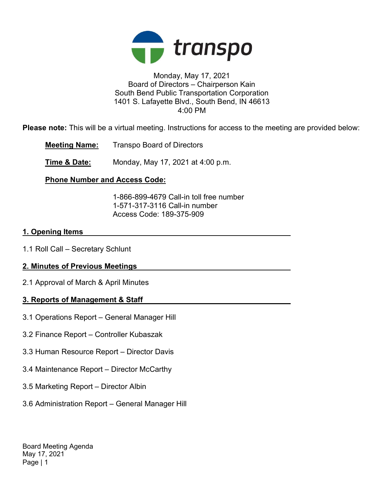

### Monday, May 17, 2021 Board of Directors – Chairperson Kain South Bend Public Transportation Corporation 1401 S. Lafayette Blvd., South Bend, IN 46613 4:00 PM

Please note: This will be a virtual meeting. Instructions for access to the meeting are provided below:

Meeting Name: Transpo Board of Directors

**Time & Date:** Monday, May 17, 2021 at 4:00 p.m.

# Phone Number and Access Code:

 1-866-899-4679 Call-in toll free number 1-571-317-3116 Call-in number Access Code: 189-375-909

## 1. Opening Items

1.1 Roll Call – Secretary Schlunt

# 2. Minutes of Previous Meetings

2.1 Approval of March & April Minutes

# 3. Reports of Management & Staff

- 3.1 Operations Report General Manager Hill
- 3.2 Finance Report Controller Kubaszak
- 3.3 Human Resource Report Director Davis
- 3.4 Maintenance Report Director McCarthy
- 3.5 Marketing Report Director Albin
- 3.6 Administration Report General Manager Hill

Board Meeting Agenda May 17, 2021 Page | 1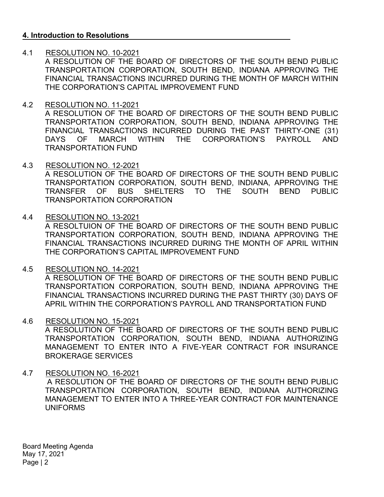### 4. Introduction to Resolutions

### 4.1 RESOLUTION NO. 10-2021

A RESOLUTION OF THE BOARD OF DIRECTORS OF THE SOUTH BEND PUBLIC TRANSPORTATION CORPORATION, SOUTH BEND, INDIANA APPROVING THE FINANCIAL TRANSACTIONS INCURRED DURING THE MONTH OF MARCH WITHIN THE CORPORATION'S CAPITAL IMPROVEMENT FUND

### 4.2 RESOLUTION NO. 11-2021

A RESOLUTION OF THE BOARD OF DIRECTORS OF THE SOUTH BEND PUBLIC TRANSPORTATION CORPORATION, SOUTH BEND, INDIANA APPROVING THE FINANCIAL TRANSACTIONS INCURRED DURING THE PAST THIRTY-ONE (31) DAYS OF MARCH WITHIN THE CORPORATION'S PAYROLL AND TRANSPORTATION FUND

4.3 RESOLUTION NO. 12-2021

A RESOLUTION OF THE BOARD OF DIRECTORS OF THE SOUTH BEND PUBLIC TRANSPORTATION CORPORATION, SOUTH BEND, INDIANA, APPROVING THE TRANSFER OF BUS SHELTERS TO THE SOUTH BEND PUBLIC TRANSPORTATION CORPORATION

### 4.4 RESOLUTION NO. 13-2021

A RESOLTUION OF THE BOARD OF DIRECTORS OF THE SOUTH BEND PUBLIC TRANSPORTATION CORPORATION, SOUTH BEND, INDIANA APPROVING THE FINANCIAL TRANSACTIONS INCURRED DURING THE MONTH OF APRIL WITHIN THE CORPORATION'S CAPITAL IMPROVEMENT FUND

#### 4.5 RESOLUTION NO. 14-2021

A RESOLUTION OF THE BOARD OF DIRECTORS OF THE SOUTH BEND PUBLIC TRANSPORTATION CORPORATION, SOUTH BEND, INDIANA APPROVING THE FINANCIAL TRANSACTIONS INCURRED DURING THE PAST THIRTY (30) DAYS OF APRIL WITHIN THE CORPORATION'S PAYROLL AND TRANSPORTATION FUND

#### 4.6 RESOLUTION NO. 15-2021

A RESOLUTION OF THE BOARD OF DIRECTORS OF THE SOUTH BEND PUBLIC TRANSPORTATION CORPORATION, SOUTH BEND, INDIANA AUTHORIZING MANAGEMENT TO ENTER INTO A FIVE-YEAR CONTRACT FOR INSURANCE BROKERAGE SERVICES

#### 4.7 RESOLUTION NO. 16-2021

 A RESOLUTION OF THE BOARD OF DIRECTORS OF THE SOUTH BEND PUBLIC TRANSPORTATION CORPORATION, SOUTH BEND, INDIANA AUTHORIZING MANAGEMENT TO ENTER INTO A THREE-YEAR CONTRACT FOR MAINTENANCE UNIFORMS

Board Meeting Agenda May 17, 2021 Page | 2